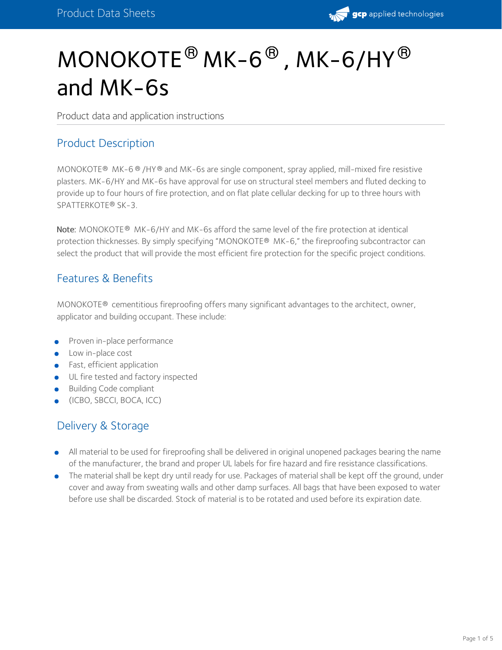

# $\mathsf{MONOKOTE}^{\circledR}\ \mathsf{MK-6}^{\circledR}$  ,  $\mathsf{MK-6}/\mathsf{HY}^{\circledR}$ and MK-6s

Product data and application instructions

#### Product Description

MONOKOTE® MK-6 ® /HY ® and MK-6s are single component, spray applied, mill-mixed fire resistive plasters. MK-6/HY and MK-6s have approval for use on structural steel members and fluted decking to provide up to four hours of fire protection, and on flat plate cellular decking for up to three hours with SPATTERKOTE® SK-3.

Note: MONOKOTE® MK-6/HY and MK-6s afford the same level of the fire protection at identical protection thicknesses. By simply specifying "MONOKOTE® MK-6," the fireproofing subcontractor can select the product that will provide the most efficient fire protection for the specific project conditions.

#### Features & Benefits

 $MONOKOTE<sup>®</sup>$  cementitious fireproofing offers many significant advantages to the architect, owner, applicator and building occupant. These include:

- Proven in-place performance
- Low in-place cost
- Fast, efficient application
- UL fire tested and factory inspected
- Building Code compliant
- (ICBO, SBCCI, BOCA, ICC)

#### Delivery & Storage

- All material to be used for fireproofing shall be delivered in original unopened packages bearing the name of the manufacturer, the brand and proper UL labels for fire hazard and fire resistance classifications.
- The material shall be kept dry until ready for use. Packages of material shall be kept off the ground, under cover and away from sweating walls and other damp surfaces. All bags that have been exposed to water before use shall be discarded. Stock of material is to be rotated and used before its expiration date.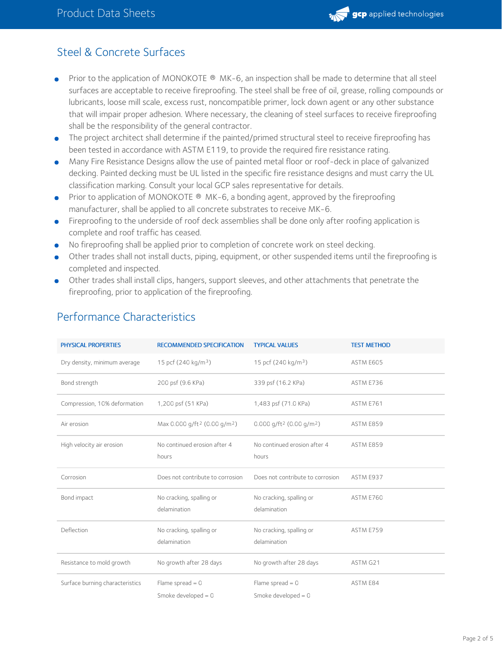

### Steel & Concrete Surfaces

- $\bullet$ Prior to the application of MONOKOTE  $\mathcal{R}$  MK-6, an inspection shall be made to determine that all steel surfaces are acceptable to receive fireproofing. The steel shall be free of oil, grease, rolling compounds or lubricants, loose mill scale, excess rust, noncompatible primer, lock down agent or any other substance that will impair proper adhesion. Where necessary, the cleaning of steel surfaces to receive fireproofing shall be the responsibility of the general contractor.
- The project architect shall determine if the painted/primed structural steel to receive fireproofing has been tested in accordance with ASTM E119, to provide the required fire resistance rating.
- Many Fire Resistance Designs allow the use of painted metal floor or roof-deck in place of galvanized decking. Painted decking must be UL listed in the specific fire resistance designs and must carry the UL classification marking. Consult your local GCP sales representative for details.
- Prior to application of MONOKOTE  $\otimes$  MK-6, a bonding agent, approved by the fireproofing manufacturer, shall be applied to all concrete substrates to receive MK-6.
- Fireproofing to the underside of roof deck assemblies shall be done only after roofing application is complete and roof traffic has ceased.
- No fireproofing shall be applied prior to completion of concrete work on steel decking.
- Other trades shall not install ducts, piping, equipment, or other suspended items until the fireproofing is completed and inspected.
- Other trades shall install clips, hangers, support sleeves, and other attachments that penetrate the fireproofing, prior to application of the fireproofing.

| <b>PHYSICAL PROPERTIES</b>      | <b>RECOMMENDED SPECIFICATION</b>                     | <b>TYPICAL VALUES</b>                              | <b>TEST METHOD</b> |
|---------------------------------|------------------------------------------------------|----------------------------------------------------|--------------------|
| Dry density, minimum average    | 15 pcf $(240 \text{ kg/m}^3)$                        | 15 pcf (240 kg/m <sup>3</sup> )                    | ASTM E605          |
| Bond strength                   | 200 psf (9.6 KPa)                                    | 339 psf (16.2 KPa)                                 | ASTM E736          |
| Compression, 10% deformation    | 1,200 psf (51 KPa)                                   | 1,483 psf (71.0 KPa)                               | ASTM E761          |
| Air erosion                     | Max 0.000 g/ft <sup>2</sup> (0.00 g/m <sup>2</sup> ) | $0.000$ g/ft <sup>2</sup> (0.00 g/m <sup>2</sup> ) | ASTM E859          |
| High velocity air erosion       | No continued erosion after 4<br>hours                | No continued erosion after 4<br>hours              | ASTM E859          |
| Corrosion                       | Does not contribute to corrosion                     | Does not contribute to corrosion                   | ASTM E937          |
| Bond impact                     | No cracking, spalling or<br>delamination             | No cracking, spalling or<br>delamination           | ASTM E760          |
| Deflection                      | No cracking, spalling or<br>delamination             | No cracking, spalling or<br>delamination           | ASTM E759          |
| Resistance to mold growth       | No growth after 28 days                              | No growth after 28 days                            | ASTM G21           |
| Surface burning characteristics | Flame spread $= 0$<br>Smoke developed $= 0$          | Flame spread $= 0$<br>Smoke developed $= 0$        | ASTM E84           |

### Performance Characteristics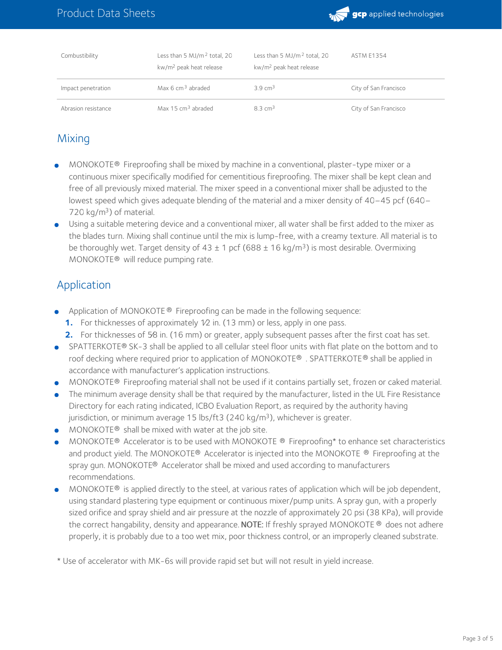

| Combustibility      | Less than 5 MJ/m <sup>2</sup> total, 20<br>kw/m <sup>2</sup> peak heat release | Less than 5 MJ/m <sup>2</sup> total, 20<br>kw/m <sup>2</sup> peak heat release | <b>ASTM E1354</b>     |
|---------------------|--------------------------------------------------------------------------------|--------------------------------------------------------------------------------|-----------------------|
| Impact penetration  | Max $6 \text{ cm}^3$ abraded                                                   | $3.9 \text{ cm}^3$                                                             | City of San Francisco |
| Abrasion resistance | Max 15 cm <sup>3</sup> abraded                                                 | $8.3 \text{ cm}^3$                                                             | City of San Francisco |

### Mixing

- MONOKOTE® Fireproofing shall be mixed by machine in a conventional, plaster-type mixer or a continuous mixer specifically modified for cementitious fireproofing. The mixer shall be kept clean and free of all previously mixed material. The mixer speed in a conventional mixer shall be adjusted to the lowest speed which gives adequate blending of the material and a mixer density of 40–45 pcf (640–  $720$  kg/m<sup>3</sup>) of material.
- Using a suitable metering device and a conventional mixer, all water shall be first added to the mixer as the blades turn. Mixing shall continue until the mix is lump-free, with a creamy texture. All material is to be thoroughly wet. Target density of 43  $\pm$  1 pcf (688  $\pm$  16 kg/m<sup>3</sup>) is most desirable. Overmixing MONOKOTE® will reduce pumping rate.

#### Application

- **•** Application of MONOKOTE <sup>®</sup> Fireproofing can be made in the following sequence:
	- **1.** For thicknesses of approximately 1/2 in. (13 mm) or less, apply in one pass.
	- **2.** For thicknesses of 5⁄8 in. (16 mm) or greater, apply subsequent passes after the first coat has set.
- SPATTERKOTE® SK-3 shall be applied to all cellular steel floor units with flat plate on the bottom and to roof decking where required prior to application of MONOKOTE® . SPATTERKOTE® shall be applied in accordance with manufacturer's application instructions.
- MONOKOTE® Fireproofing material shall not be used if it contains partially set, frozen or caked material.
- The minimum average density shall be that required by the manufacturer, listed in the UL Fire Resistance Directory for each rating indicated, ICBO Evaluation Report, as required by the authority having jurisdiction, or minimum average 15 lbs/ft3 (240 kg/m<sup>3</sup>), whichever is greater.
- **MONOKOTE®** shall be mixed with water at the job site.
- MONOKOTE® Accelerator is to be used with MONOKOTE ® Fireproofing\* to enhance set characteristics and product yield. The MONOKOTE® Accelerator is injected into the MONOKOTE ® Fireproofing at the  $s$ pray gun. MONOKOTE® Accelerator shall be mixed and used according to manufacturers recommendations.
- MONOKOTE $\odot$  is applied directly to the steel, at various rates of application which will be job dependent, using standard plastering type equipment or continuous mixer/pump units. A spray gun, with a properly sized orifice and spray shield and air pressure at the nozzle of approximately 20 psi (38 KPa), will provide the correct hangability, density and appearance. **NOTE:** If freshly sprayed MONOKOTE  $^{\circledR}$  does not adhere properly, it is probably due to a too wet mix, poor thickness control, or an improperly cleaned substrate.
- \* Use of accelerator with MK-6s will provide rapid set but will not result in yield increase.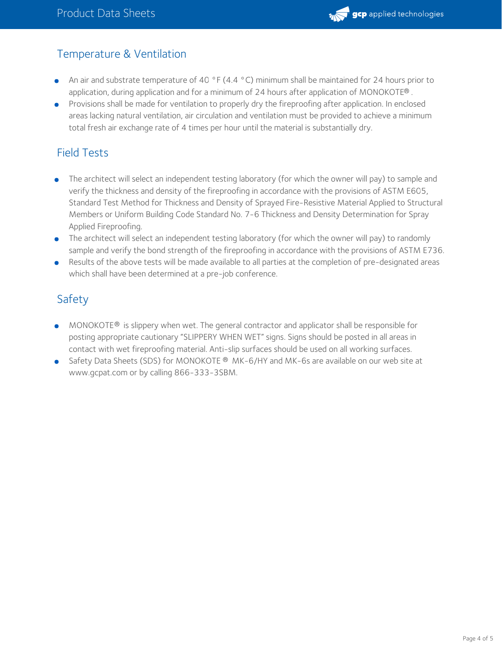

### Temperature & Ventilation

- An air and substrate temperature of 40 °F (4.4 °C) minimum shall be maintained for 24 hours prior to application, during application and for a minimum of 24 hours after application of MONOKOTE®.
- Provisions shall be made for ventilation to properly dry the fireproofing after application. In enclosed areas lacking natural ventilation, air circulation and ventilation must be provided to achieve a minimum total fresh air exchange rate of 4 times per hour until the material is substantially dry.

## Field Tests

- The architect will select an independent testing laboratory (for which the owner will pay) to sample and verify the thickness and density of the fireproofing in accordance with the provisions of ASTM E605, Standard Test Method for Thickness and Density of Sprayed Fire-Resistive Material Applied to Structural Members or Uniform Building Code Standard No. 7-6 Thickness and Density Determination for Spray Applied Fireproofing.
- The architect will select an independent testing laboratory (for which the owner will pay) to randomly  $\bullet$ sample and verify the bond strength of the fireproofing in accordance with the provisions of ASTM E736.
- Results of the above tests will be made available to all parties at the completion of pre-designated areas which shall have been determined at a pre-job conference.

# Safety

- MONOKOTE® is slippery when wet. The general contractor and applicator shall be responsible for posting appropriate cautionary "SLIPPERY WHEN WET" signs. Signs should be posted in all areas in contact with wet fireproofing material. Anti-slip surfaces should be used on all working surfaces.
- Safety Data Sheets (SDS) for MONOKOTE  $\textcircled{B}$  MK-6/HY and MK-6s are available on our web site at www.gcpat.com or by calling 866-333-3SBM.